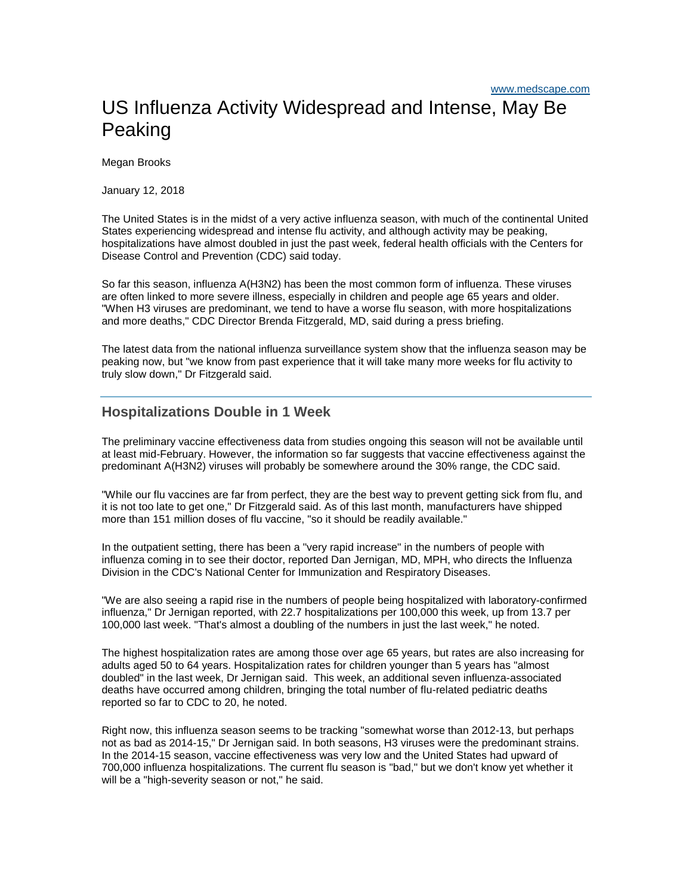## US Influenza Activity Widespread and Intense, May Be **Peaking**

Megan Brooks

January 12, 2018

The United States is in the midst of a very active influenza season, with much of the continental United States experiencing widespread and intense flu activity, and although activity may be peaking, hospitalizations have almost doubled in just the past week, federal health officials with the Centers for Disease Control and Prevention (CDC) said today.

So far this season, influenza A(H3N2) has been the most common form of influenza. These viruses are often linked to more severe illness, especially in children and people age 65 years and older. "When H3 viruses are predominant, we tend to have a worse flu season, with more hospitalizations and more deaths," CDC Director Brenda Fitzgerald, MD, said during a press briefing.

The latest data from the national influenza surveillance system show that the influenza season may be peaking now, but "we know from past experience that it will take many more weeks for flu activity to truly slow down," Dr Fitzgerald said.

## **Hospitalizations Double in 1 Week**

The preliminary vaccine effectiveness data from studies ongoing this season will not be available until at least mid-February. However, the information so far suggests that vaccine effectiveness against the predominant A(H3N2) viruses will probably be somewhere around the 30% range, the CDC said.

"While our flu vaccines are far from perfect, they are the best way to prevent getting sick from flu, and it is not too late to get one," Dr Fitzgerald said. As of this last month, manufacturers have shipped more than 151 million doses of flu vaccine, "so it should be readily available."

In the outpatient setting, there has been a "very rapid increase" in the numbers of people with influenza coming in to see their doctor, reported Dan Jernigan, MD, MPH, who directs the Influenza Division in the CDC's National Center for Immunization and Respiratory Diseases.

"We are also seeing a rapid rise in the numbers of people being hospitalized with laboratory-confirmed influenza," Dr Jernigan reported, with 22.7 hospitalizations per 100,000 this week, up from 13.7 per 100,000 last week. "That's almost a doubling of the numbers in just the last week," he noted.

The highest hospitalization rates are among those over age 65 years, but rates are also increasing for adults aged 50 to 64 years. Hospitalization rates for children younger than 5 years has "almost doubled" in the last week, Dr Jernigan said. This week, an additional seven influenza-associated deaths have occurred among children, bringing the total number of flu-related pediatric deaths reported so far to CDC to 20, he noted.

Right now, this influenza season seems to be tracking "somewhat worse than 2012-13, but perhaps not as bad as 2014-15," Dr Jernigan said. In both seasons, H3 viruses were the predominant strains. In the 2014-15 season, vaccine effectiveness was very low and the United States had upward of 700,000 influenza hospitalizations. The current flu season is "bad," but we don't know yet whether it will be a "high-severity season or not," he said.